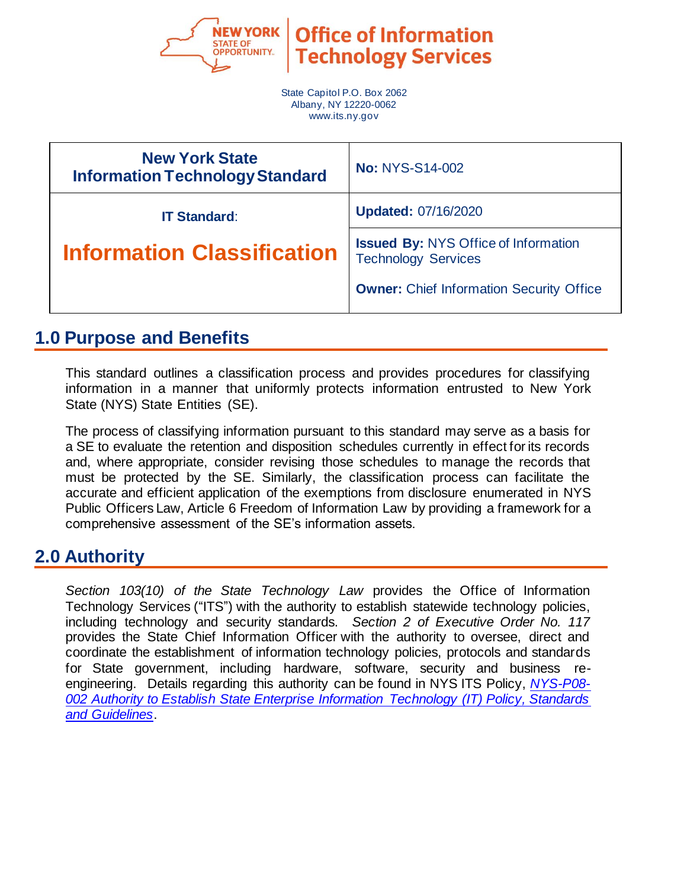

**OINCE OF IN Technology Services** 

State Capitol P.O. Box 2062 Albany, NY 12220-0062 www.its.ny.gov

| <b>New York State</b><br><b>Information Technology Standard</b> | <b>No: NYS-S14-002</b>                                                    |
|-----------------------------------------------------------------|---------------------------------------------------------------------------|
| <b>IT Standard:</b>                                             | <b>Updated: 07/16/2020</b>                                                |
| <b>Information Classification</b>                               | <b>Issued By: NYS Office of Information</b><br><b>Technology Services</b> |
|                                                                 | <b>Owner:</b> Chief Information Security Office                           |

# **1.0 Purpose and Benefits**

This standard outlines a classification process and provides procedures for classifying information in a manner that uniformly protects information entrusted to New York State (NYS) State Entities (SE).

The process of classifying information pursuant to this standard may serve as a basis for a SE to evaluate the retention and disposition schedules currently in effect for its records and, where appropriate, consider revising those schedules to manage the records that must be protected by the SE. Similarly, the classification process can facilitate the accurate and efficient application of the exemptions from disclosure enumerated in NYS Public Officers Law, Article 6 Freedom of Information Law by providing a framework for a comprehensive assessment of the SE's information assets.

# **2.0 Authority**

*Section 103(10) of the State Technology Law* provides the Office of Information Technology Services ("ITS") with the authority to establish statewide technology policies, including technology and security standards. *Section 2 of Executive Order No. 117* provides the State Chief Information Officer with the authority to oversee, direct and coordinate the establishment of information technology policies, protocols and standards for State government, including hardware, software, security and business reengineering. Details regarding this authority can be found in NYS ITS Policy, *[NYS-P08-](https://its.ny.gov/document/authority-establish-state-enterprise-information-technology-it-policy-standards-and-guidelines) [002 Authority to Establish State Enterprise Information Technology \(IT\) Policy, Standards](https://its.ny.gov/document/authority-establish-state-enterprise-information-technology-it-policy-standards-and-guidelines)  [and Guidelines](https://its.ny.gov/document/authority-establish-state-enterprise-information-technology-it-policy-standards-and-guidelines)*.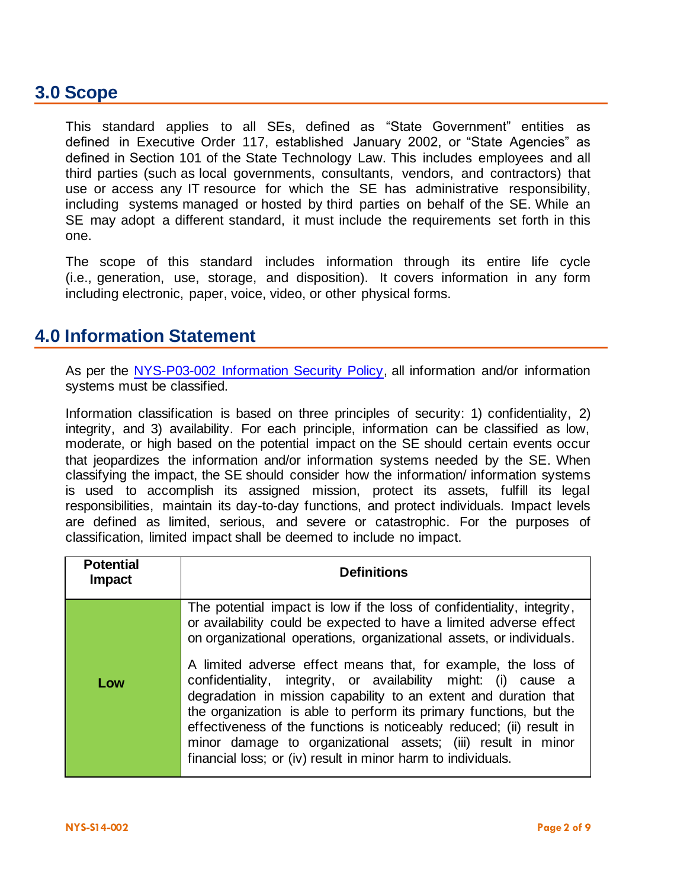# **3.0 Scope**

This standard applies to all SEs, defined as "State Government" entities as defined in Executive Order 117, established January 2002, or "State Agencies" as defined in Section 101 of the State Technology Law. This includes employees and all third parties (such as local governments, consultants, vendors, and contractors) that use or access any IT resource for which the SE has administrative responsibility, including systems managed or hosted by third parties on behalf of the SE. While an SE may adopt a different standard, it must include the requirements set forth in this one.

The scope of this standard includes information through its entire life cycle (i.e., generation, use, storage, and disposition). It covers information in any form including electronic, paper, voice, video, or other physical forms.

# **4.0 Information Statement**

As per the NYS-P03-002 [Information Security Policy,](https://its.ny.gov/document/information-security-policy) all information and/or information systems must be classified.

Information classification is based on three principles of security: 1) confidentiality, 2) integrity, and 3) availability. For each principle, information can be classified as low, moderate, or high based on the potential impact on the SE should certain events occur that jeopardizes the information and/or information systems needed by the SE. When classifying the impact, the SE should consider how the information/ information systems is used to accomplish its assigned mission, protect its assets, fulfill its legal responsibilities, maintain its day-to-day functions, and protect individuals. Impact levels are defined as limited, serious, and severe or catastrophic. For the purposes of classification, limited impact shall be deemed to include no impact.

| <b>Potential</b><br><b>Impact</b> | <b>Definitions</b>                                                                                                                                                                                                                                                                                                                                                                                                                                                                |
|-----------------------------------|-----------------------------------------------------------------------------------------------------------------------------------------------------------------------------------------------------------------------------------------------------------------------------------------------------------------------------------------------------------------------------------------------------------------------------------------------------------------------------------|
|                                   | The potential impact is low if the loss of confidentiality, integrity,<br>or availability could be expected to have a limited adverse effect<br>on organizational operations, organizational assets, or individuals.                                                                                                                                                                                                                                                              |
| Low                               | A limited adverse effect means that, for example, the loss of<br>confidentiality, integrity, or availability might: (i) cause a<br>degradation in mission capability to an extent and duration that<br>the organization is able to perform its primary functions, but the<br>effectiveness of the functions is noticeably reduced; (ii) result in<br>minor damage to organizational assets; (iii) result in minor<br>financial loss; or (iv) result in minor harm to individuals. |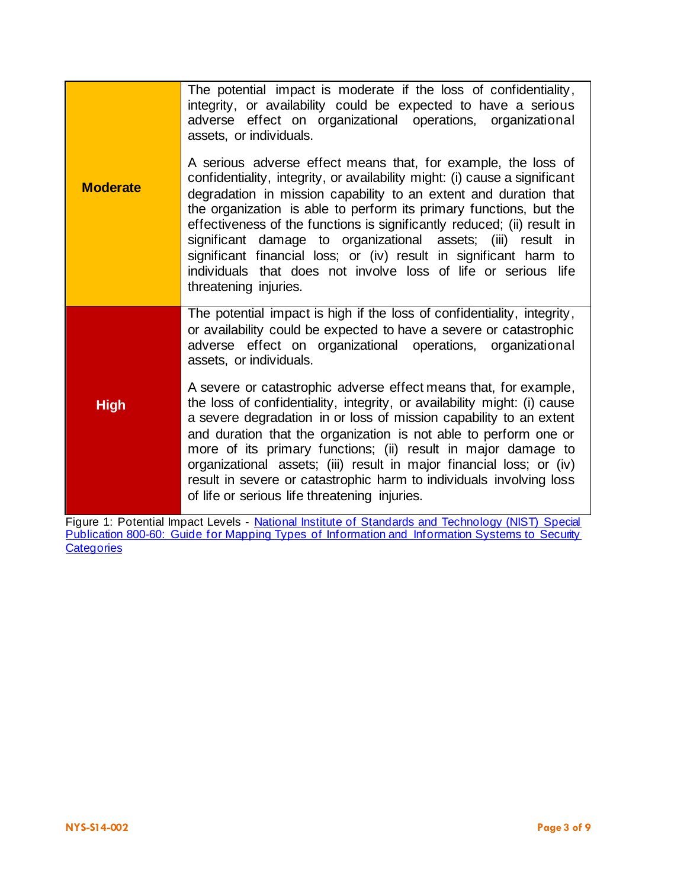|                 | The potential impact is moderate if the loss of confidentiality,<br>integrity, or availability could be expected to have a serious<br>adverse effect on organizational operations, organizational<br>assets, or individuals.                                                                                                                                                                                                                                                                                                                                                                     |
|-----------------|--------------------------------------------------------------------------------------------------------------------------------------------------------------------------------------------------------------------------------------------------------------------------------------------------------------------------------------------------------------------------------------------------------------------------------------------------------------------------------------------------------------------------------------------------------------------------------------------------|
| <b>Moderate</b> | A serious adverse effect means that, for example, the loss of<br>confidentiality, integrity, or availability might: (i) cause a significant<br>degradation in mission capability to an extent and duration that<br>the organization is able to perform its primary functions, but the<br>effectiveness of the functions is significantly reduced; (ii) result in<br>significant damage to organizational assets; (iii) result in<br>significant financial loss; or (iv) result in significant harm to<br>individuals that does not involve loss of life or serious life<br>threatening injuries. |
|                 | The potential impact is high if the loss of confidentiality, integrity,<br>or availability could be expected to have a severe or catastrophic<br>adverse effect on organizational operations, organizational<br>assets, or individuals.                                                                                                                                                                                                                                                                                                                                                          |
| <b>High</b>     | A severe or catastrophic adverse effect means that, for example,<br>the loss of confidentiality, integrity, or availability might: (i) cause<br>a severe degradation in or loss of mission capability to an extent<br>and duration that the organization is not able to perform one or<br>more of its primary functions; (ii) result in major damage to<br>organizational assets; (iii) result in major financial loss; or (iv)<br>result in severe or catastrophic harm to individuals involving loss<br>of life or serious life threatening injuries.                                          |

Figure 1: Potential Impact Levels - National Institute of Standards and Technology (NIST) Special Publication 800-60: Guide for Mapping Types of Information and Information Systems to Security **[Categories](https://nvlpubs.nist.gov/nistpubs/Legacy/SP/nistspecialpublication800-60v1r1.pdf)**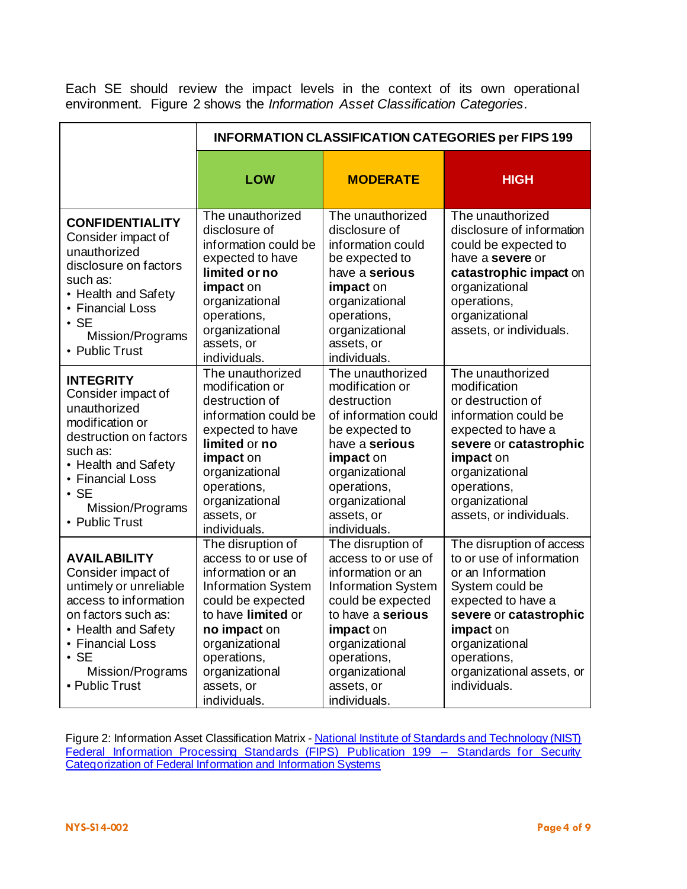Each SE should review the impact levels in the context of its own operational environment. Figure 2 shows the *Information Asset Classification Categories*.

|                                                                                                                                                                                                                    | <b>INFORMATION CLASSIFICATION CATEGORIES per FIPS 199</b>                                                                                                                                                                              |                                                                                                                                                                                                                                    |                                                                                                                                                                                                                                         |  |  |
|--------------------------------------------------------------------------------------------------------------------------------------------------------------------------------------------------------------------|----------------------------------------------------------------------------------------------------------------------------------------------------------------------------------------------------------------------------------------|------------------------------------------------------------------------------------------------------------------------------------------------------------------------------------------------------------------------------------|-----------------------------------------------------------------------------------------------------------------------------------------------------------------------------------------------------------------------------------------|--|--|
|                                                                                                                                                                                                                    | <b>LOW</b>                                                                                                                                                                                                                             | <b>MODERATE</b>                                                                                                                                                                                                                    | <b>HIGH</b>                                                                                                                                                                                                                             |  |  |
| <b>CONFIDENTIALITY</b><br>Consider impact of<br>unauthorized<br>disclosure on factors<br>such as:<br>• Health and Safety<br>• Financial Loss<br>$\cdot$ SE<br>Mission/Programs<br>• Public Trust                   | The unauthorized<br>disclosure of<br>information could be<br>expected to have<br>limited or no<br>impact on<br>organizational<br>operations,<br>organizational<br>assets, or<br>individuals.                                           | The unauthorized<br>disclosure of<br>information could<br>be expected to<br>have a serious<br>impact on<br>organizational<br>operations,<br>organizational<br>assets, or<br>individuals.                                           | The unauthorized<br>disclosure of information<br>could be expected to<br>have a severe or<br>catastrophic impact on<br>organizational<br>operations,<br>organizational<br>assets, or individuals.                                       |  |  |
| <b>INTEGRITY</b><br>Consider impact of<br>unauthorized<br>modification or<br>destruction on factors<br>such as:<br>• Health and Safety<br>• Financial Loss<br>$\cdot$ SE<br>Mission/Programs<br>• Public Trust     | The unauthorized<br>modification or<br>destruction of<br>information could be<br>expected to have<br>limited or no<br>impact on<br>organizational<br>operations,<br>organizational<br>assets, or<br>individuals.                       | The unauthorized<br>modification or<br>destruction<br>of information could<br>be expected to<br>have a serious<br>impact on<br>organizational<br>operations,<br>organizational<br>assets, or<br>individuals.                       | The unauthorized<br>modification<br>or destruction of<br>information could be<br>expected to have a<br>severe or catastrophic<br>impact on<br>organizational<br>operations,<br>organizational<br>assets, or individuals.                |  |  |
| <b>AVAILABILITY</b><br>Consider impact of<br>untimely or unreliable<br>access to information<br>on factors such as:<br>• Health and Safety<br>• Financial Loss<br>$\cdot$ SE<br>Mission/Programs<br>- Public Trust | The disruption of<br>access to or use of<br>information or an<br><b>Information System</b><br>could be expected<br>to have limited or<br>no impact on<br>organizational<br>operations,<br>organizational<br>assets, or<br>individuals. | The disruption of<br>access to or use of<br>information or an<br><b>Information System</b><br>could be expected<br>to have a serious<br>impact on<br>organizational<br>operations,<br>organizational<br>assets, or<br>individuals. | The disruption of access<br>to or use of information<br>or an Information<br>System could be<br>expected to have a<br>severe or catastrophic<br>impact on<br>organizational<br>operations,<br>organizational assets, or<br>individuals. |  |  |

Figure 2: Information Asset Classification Matrix - National Institute of Standards and Technology (NIST) Federal Information Processing Standards (FIPS) Publication 199 - Standards for Security **[Categorization of Federal Information and Information Systems](http://csrc.nist.gov/publications/fips/fips199/FIPS-PUB-199-final.pdf)**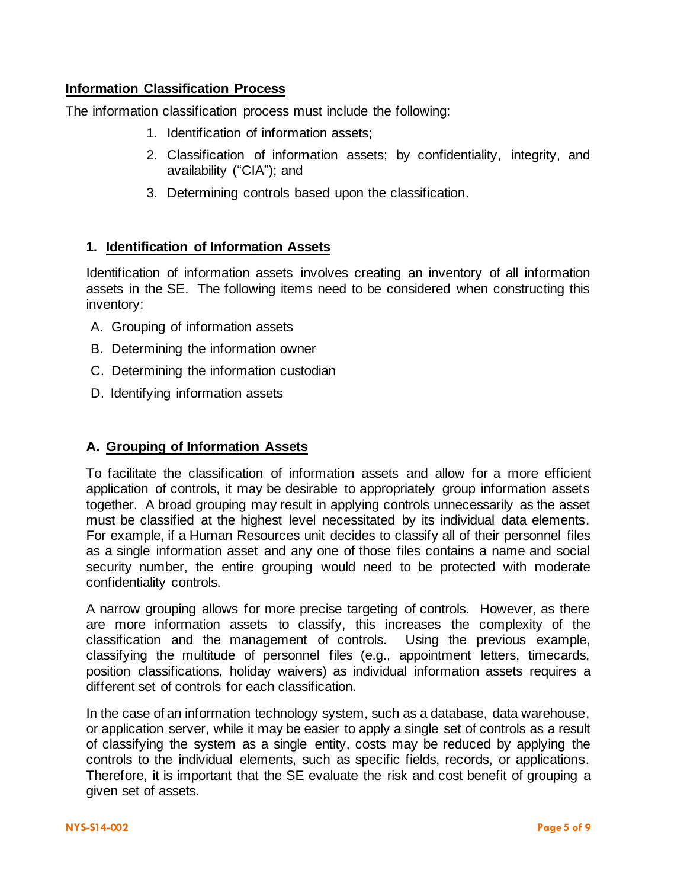## **Information Classification Process**

The information classification process must include the following:

- 1. Identification of information assets;
- 2. Classification of information assets; by confidentiality, integrity, and availability ("CIA"); and
- 3. Determining controls based upon the classification.

### **1. Identification of Information Assets**

Identification of information assets involves creating an inventory of all information assets in the SE. The following items need to be considered when constructing this inventory:

- A. Grouping of information assets
- B. Determining the information owner
- C. Determining the information custodian
- D. Identifying information assets

#### **A. Grouping of Information Assets**

To facilitate the classification of information assets and allow for a more efficient application of controls, it may be desirable to appropriately group information assets together. A broad grouping may result in applying controls unnecessarily as the asset must be classified at the highest level necessitated by its individual data elements. For example, if a Human Resources unit decides to classify all of their personnel files as a single information asset and any one of those files contains a name and social security number, the entire grouping would need to be protected with moderate confidentiality controls.

A narrow grouping allows for more precise targeting of controls. However, as there are more information assets to classify, this increases the complexity of the classification and the management of controls. Using the previous example, classifying the multitude of personnel files (e.g., appointment letters, timecards, position classifications, holiday waivers) as individual information assets requires a different set of controls for each classification.

In the case of an information technology system, such as a database, data warehouse, or application server, while it may be easier to apply a single set of controls as a result of classifying the system as a single entity, costs may be reduced by applying the controls to the individual elements, such as specific fields, records, or applications. Therefore, it is important that the SE evaluate the risk and cost benefit of grouping a given set of assets.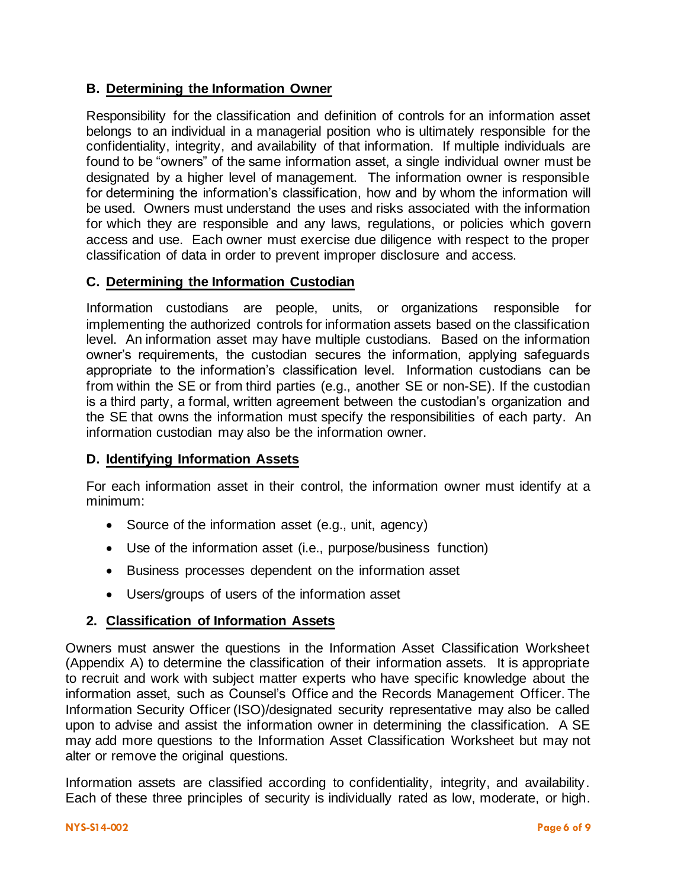# **B. Determining the Information Owner**

Responsibility for the classification and definition of controls for an information asset belongs to an individual in a managerial position who is ultimately responsible for the confidentiality, integrity, and availability of that information. If multiple individuals are found to be "owners" of the same information asset, a single individual owner must be designated by a higher level of management. The information owner is responsible for determining the information's classification, how and by whom the information will be used. Owners must understand the uses and risks associated with the information for which they are responsible and any laws, regulations, or policies which govern access and use. Each owner must exercise due diligence with respect to the proper classification of data in order to prevent improper disclosure and access.

## **C. Determining the Information Custodian**

Information custodians are people, units, or organizations responsible for implementing the authorized controls for information assets based on the classification level. An information asset may have multiple custodians. Based on the information owner's requirements, the custodian secures the information, applying safeguards appropriate to the information's classification level. Information custodians can be from within the SE or from third parties (e.g., another SE or non-SE). If the custodian is a third party, a formal, written agreement between the custodian's organization and the SE that owns the information must specify the responsibilities of each party. An information custodian may also be the information owner.

## **D. Identifying Information Assets**

For each information asset in their control, the information owner must identify at a minimum:

- Source of the information asset (e.g., unit, agency)
- Use of the information asset (i.e., purpose/business function)
- Business processes dependent on the information asset
- Users/groups of users of the information asset

## **2. Classification of Information Assets**

Owners must answer the questions in the Information Asset Classification Worksheet (Appendix A) to determine the classification of their information assets. It is appropriate to recruit and work with subject matter experts who have specific knowledge about the information asset, such as Counsel's Office and the Records Management Officer. The Information Security Officer (ISO)/designated security representative may also be called upon to advise and assist the information owner in determining the classification. A SE may add more questions to the Information Asset Classification Worksheet but may not alter or remove the original questions.

Information assets are classified according to confidentiality, integrity, and availability. Each of these three principles of security is individually rated as low, moderate, or high.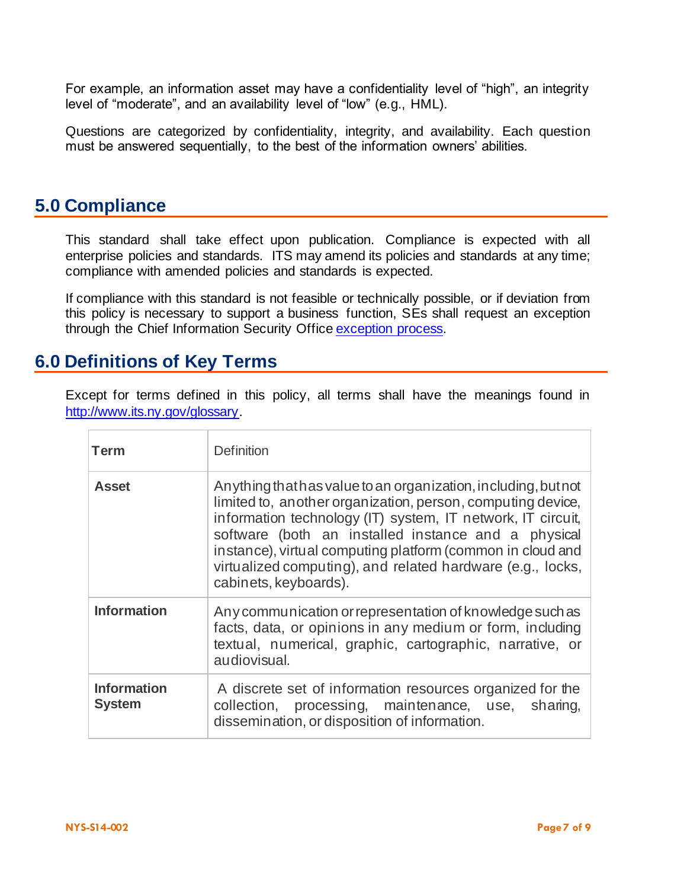For example, an information asset may have a confidentiality level of "high", an integrity level of "moderate", and an availability level of "low" (e.g., HML).

Questions are categorized by confidentiality, integrity, and availability. Each question must be answered sequentially, to the best of the information owners' abilities.

# **5.0 Compliance**

This standard shall take effect upon publication. Compliance is expected with all enterprise policies and standards. ITS may amend its policies and standards at any time; compliance with amended policies and standards is expected.

If compliance with this standard is not feasible or technically possible, or if deviation from this policy is necessary to support a business function, SEs shall request an exception through the Chief Information Security Offic[e exception process.](http://www.its.ny.gov/document/information-security-exception-policy)

# **6.0 Definitions of Key Terms**

Except for terms defined in this policy, all terms shall have the meanings found in [http://www.its.ny.gov/glossary.](http://www.its.ny.gov/glossary)

| <b>Term</b>                         | <b>Definition</b>                                                                                                                                                                                                                                                                                                                                                                                        |
|-------------------------------------|----------------------------------------------------------------------------------------------------------------------------------------------------------------------------------------------------------------------------------------------------------------------------------------------------------------------------------------------------------------------------------------------------------|
| <b>Asset</b>                        | Anything that has value to an organization, including, but not<br>limited to, another organization, person, computing device,<br>information technology (IT) system, IT network, IT circuit,<br>software (both an installed instance and a physical<br>instance), virtual computing platform (common in cloud and<br>virtualized computing), and related hardware (e.g., locks,<br>cabinets, keyboards). |
| <b>Information</b>                  | Any communication or representation of knowledge such as<br>facts, data, or opinions in any medium or form, including<br>textual, numerical, graphic, cartographic, narrative, or<br>audiovisual.                                                                                                                                                                                                        |
| <b>Information</b><br><b>System</b> | A discrete set of information resources organized for the<br>collection, processing, maintenance, use, sharing,<br>dissemination, or disposition of information.                                                                                                                                                                                                                                         |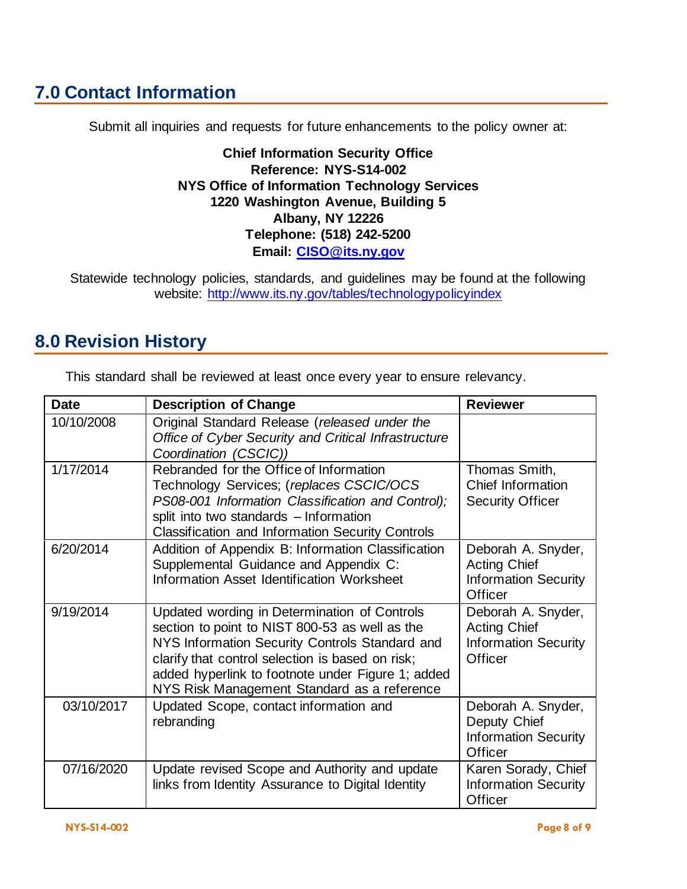# **7.0 Contact Information**

Submit all inquiries and requests for future enhancements to the policy owner at:

**Chief Information Security Office Reference: NYS-S14-002 NYS Office of Information Technology Services 1220 Washington Avenue, Building 5 Albany, NY 12226 Telephone: (518) 242-5200 Email: [CISO@its.ny.gov](mailto:CISO@its.ny.gov)**

Statewide technology policies, standards, and guidelines may be found at the following website: <http://www.its.ny.gov/tables/technologypolicyindex>

# **8.0 Revision History**

| <b>Date</b> | <b>Description of Change</b>                                                                                                                                                                                                                                                                             | <b>Reviewer</b>                                                                     |
|-------------|----------------------------------------------------------------------------------------------------------------------------------------------------------------------------------------------------------------------------------------------------------------------------------------------------------|-------------------------------------------------------------------------------------|
| 10/10/2008  | Original Standard Release (released under the<br>Office of Cyber Security and Critical Infrastructure<br>Coordination (CSCIC))                                                                                                                                                                           |                                                                                     |
| 1/17/2014   | Rebranded for the Office of Information<br>Technology Services; (replaces CSCIC/OCS<br>PS08-001 Information Classification and Control);<br>split into two standards - Information<br><b>Classification and Information Security Controls</b>                                                            | Thomas Smith,<br><b>Chief Information</b><br><b>Security Officer</b>                |
| 6/20/2014   | Addition of Appendix B: Information Classification<br>Supplemental Guidance and Appendix C:<br>Information Asset Identification Worksheet                                                                                                                                                                | Deborah A. Snyder,<br><b>Acting Chief</b><br><b>Information Security</b><br>Officer |
| 9/19/2014   | Updated wording in Determination of Controls<br>section to point to NIST 800-53 as well as the<br>NYS Information Security Controls Standard and<br>clarify that control selection is based on risk;<br>added hyperlink to footnote under Figure 1; added<br>NYS Risk Management Standard as a reference | Deborah A. Snyder,<br><b>Acting Chief</b><br><b>Information Security</b><br>Officer |
| 03/10/2017  | Updated Scope, contact information and<br>rebranding                                                                                                                                                                                                                                                     | Deborah A. Snyder,<br>Deputy Chief<br><b>Information Security</b><br>Officer        |
| 07/16/2020  | Update revised Scope and Authority and update<br>links from Identity Assurance to Digital Identity                                                                                                                                                                                                       | Karen Sorady, Chief<br><b>Information Security</b><br>Officer                       |

This standard shall be reviewed at least once every year to ensure relevancy.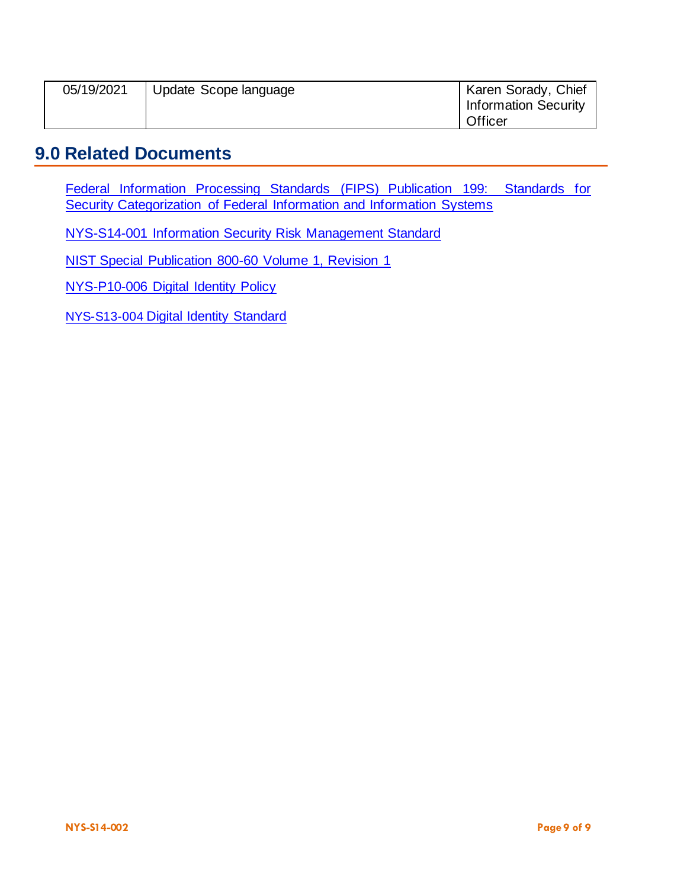| 05/19/2021 | Update Scope language | Karen Sorady, Chief<br><b>Information Security</b> |
|------------|-----------------------|----------------------------------------------------|
|            |                       | Officer                                            |

# **9.0 Related Documents**

[Federal Information Processing Standards](http://csrc.nist.gov/publications/fips/fips199/FIPS-PUB-199-final.pdf) (FIPS) Publication 199: Standards for [Security Categorization of Federal Information and Information Systems](http://csrc.nist.gov/publications/fips/fips199/FIPS-PUB-199-final.pdf)

[NYS-S14-001 Information Security Risk Management Standard](https://its.ny.gov/document/information-security-risk-management-standard)

[NIST Special Publication 800-60 Volume 1, Revision 1](https://nvlpubs.nist.gov/nistpubs/Legacy/SP/nistspecialpublication800-60v1r1.pdf)

[NYS-P10-006 Digital Identity Policy](https://its.ny.gov/document/digital-identity-policy)

[NYS-S13-004](https://its.ny.gov/document/digital-identity-standard) [Digital Identity Standard](https://its.ny.gov/document/digital-identity-standard)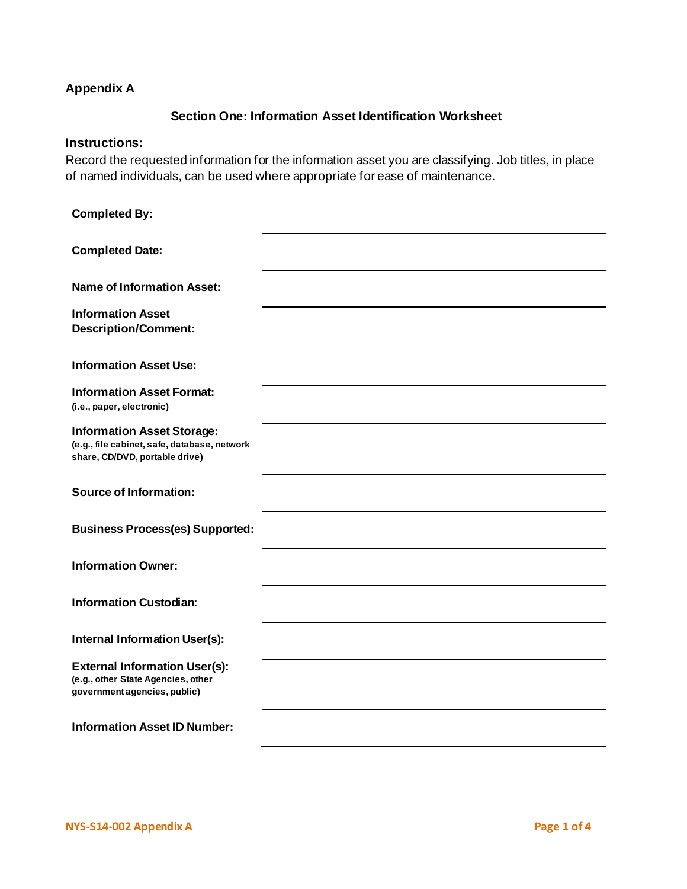# <span id="page-9-0"></span>**Appendix A**

## **Section One: Information Asset Identification Worksheet**

#### **Instructions:**

Record the requested information for the information asset you are classifying. Job titles, in place of named individuals, can be used where appropriate for ease of maintenance.

| <b>Completed By:</b>                                                                                                |  |
|---------------------------------------------------------------------------------------------------------------------|--|
| <b>Completed Date:</b>                                                                                              |  |
| <b>Name of Information Asset:</b>                                                                                   |  |
| <b>Information Asset</b><br><b>Description/Comment:</b>                                                             |  |
| <b>Information Asset Use:</b>                                                                                       |  |
| <b>Information Asset Format:</b><br>(i.e., paper, electronic)                                                       |  |
| <b>Information Asset Storage:</b><br>(e.g., file cabinet, safe, database, network<br>share, CD/DVD, portable drive) |  |
| <b>Source of Information:</b>                                                                                       |  |
| <b>Business Process(es) Supported:</b>                                                                              |  |
| <b>Information Owner:</b>                                                                                           |  |
| <b>Information Custodian:</b>                                                                                       |  |
| <b>Internal Information User(s):</b>                                                                                |  |
| <b>External Information User(s):</b><br>(e.g., other State Agencies, other<br>government agencies, public)          |  |
| <b>Information Asset ID Number:</b>                                                                                 |  |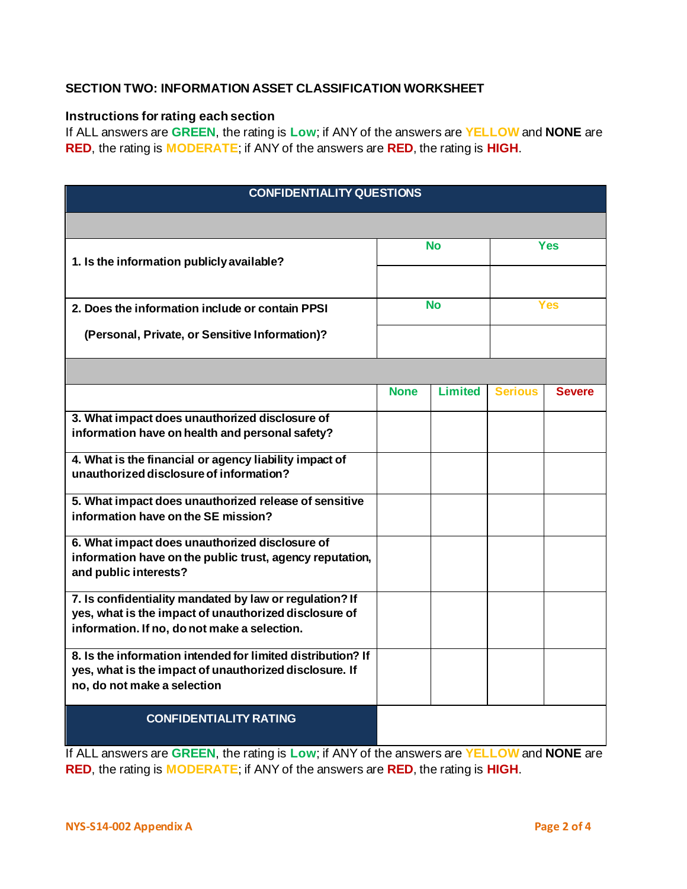## **SECTION TWO: INFORMATION ASSET CLASSIFICATION WORKSHEET**

#### **Instructions for rating each section**

If ALL answers are **GREEN**, the rating is **Low**; if ANY of the answers are **YELLOW** and **NONE** are **RED**, the rating is **MODERATE**; if ANY of the answers are **RED**, the rating is **HIGH**.

| <b>CONFIDENTIALITY QUESTIONS</b>                                                                                                                                 |             |                |                |               |  |  |
|------------------------------------------------------------------------------------------------------------------------------------------------------------------|-------------|----------------|----------------|---------------|--|--|
|                                                                                                                                                                  |             |                |                |               |  |  |
| 1. Is the information publicly available?                                                                                                                        | <b>No</b>   |                |                | Yes           |  |  |
|                                                                                                                                                                  |             |                |                |               |  |  |
| 2. Does the information include or contain PPSI                                                                                                                  |             | <b>No</b>      | Yes            |               |  |  |
| (Personal, Private, or Sensitive Information)?                                                                                                                   |             |                |                |               |  |  |
|                                                                                                                                                                  |             |                |                |               |  |  |
|                                                                                                                                                                  | <b>None</b> | <b>Limited</b> | <b>Serious</b> | <b>Severe</b> |  |  |
| 3. What impact does unauthorized disclosure of<br>information have on health and personal safety?                                                                |             |                |                |               |  |  |
| 4. What is the financial or agency liability impact of<br>unauthorized disclosure of information?                                                                |             |                |                |               |  |  |
| 5. What impact does unauthorized release of sensitive<br>information have on the SE mission?                                                                     |             |                |                |               |  |  |
| 6. What impact does unauthorized disclosure of                                                                                                                   |             |                |                |               |  |  |
| information have on the public trust, agency reputation,<br>and public interests?                                                                                |             |                |                |               |  |  |
| 7. Is confidentiality mandated by law or regulation? If<br>yes, what is the impact of unauthorized disclosure of<br>information. If no, do not make a selection. |             |                |                |               |  |  |
| 8. Is the information intended for limited distribution? If<br>yes, what is the impact of unauthorized disclosure. If<br>no, do not make a selection             |             |                |                |               |  |  |
| <b>CONFIDENTIALITY RATING</b>                                                                                                                                    |             |                |                |               |  |  |

If ALL answers are **GREEN**, the rating is **Low**; if ANY of the answers are **YELLOW** and **NONE** are **RED**, the rating is **MODERATE**; if ANY of the answers are **RED**, the rating is **HIGH**.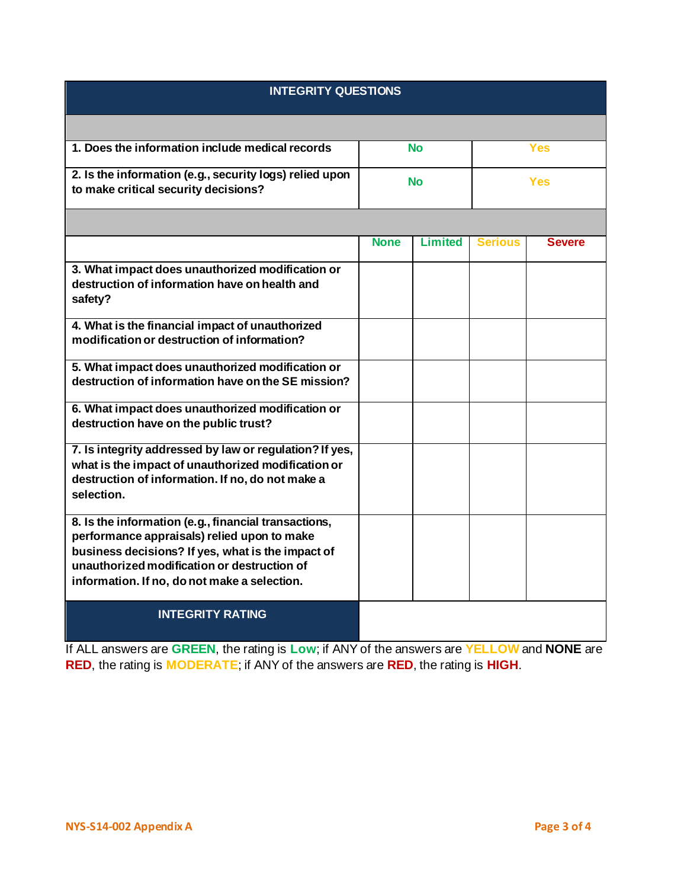| <b>INTEGRITY QUESTIONS</b>                                                                                                                                                                                                                              |                  |                |                |               |  |
|---------------------------------------------------------------------------------------------------------------------------------------------------------------------------------------------------------------------------------------------------------|------------------|----------------|----------------|---------------|--|
|                                                                                                                                                                                                                                                         |                  |                |                |               |  |
| 1. Does the information include medical records                                                                                                                                                                                                         | <b>No</b><br>Yes |                |                |               |  |
| 2. Is the information (e.g., security logs) relied upon<br>to make critical security decisions?                                                                                                                                                         | <b>No</b>        |                |                | <b>Yes</b>    |  |
|                                                                                                                                                                                                                                                         |                  |                |                |               |  |
|                                                                                                                                                                                                                                                         | <b>None</b>      | <b>Limited</b> | <b>Serious</b> | <b>Severe</b> |  |
| 3. What impact does unauthorized modification or<br>destruction of information have on health and<br>safety?                                                                                                                                            |                  |                |                |               |  |
| 4. What is the financial impact of unauthorized<br>modification or destruction of information?                                                                                                                                                          |                  |                |                |               |  |
| 5. What impact does unauthorized modification or<br>destruction of information have on the SE mission?                                                                                                                                                  |                  |                |                |               |  |
| 6. What impact does unauthorized modification or<br>destruction have on the public trust?                                                                                                                                                               |                  |                |                |               |  |
| 7. Is integrity addressed by law or regulation? If yes,<br>what is the impact of unauthorized modification or<br>destruction of information. If no, do not make a<br>selection.                                                                         |                  |                |                |               |  |
| 8. Is the information (e.g., financial transactions,<br>performance appraisals) relied upon to make<br>business decisions? If yes, what is the impact of<br>unauthorized modification or destruction of<br>information. If no, do not make a selection. |                  |                |                |               |  |
| <b>INTEGRITY RATING</b>                                                                                                                                                                                                                                 |                  |                |                |               |  |

If ALL answers are **GREEN**, the rating is **Low**; if ANY of the answers are **YELLOW** and **NONE** are **RED**, the rating is **MODERATE**; if ANY of the answers are **RED**, the rating is **HIGH**.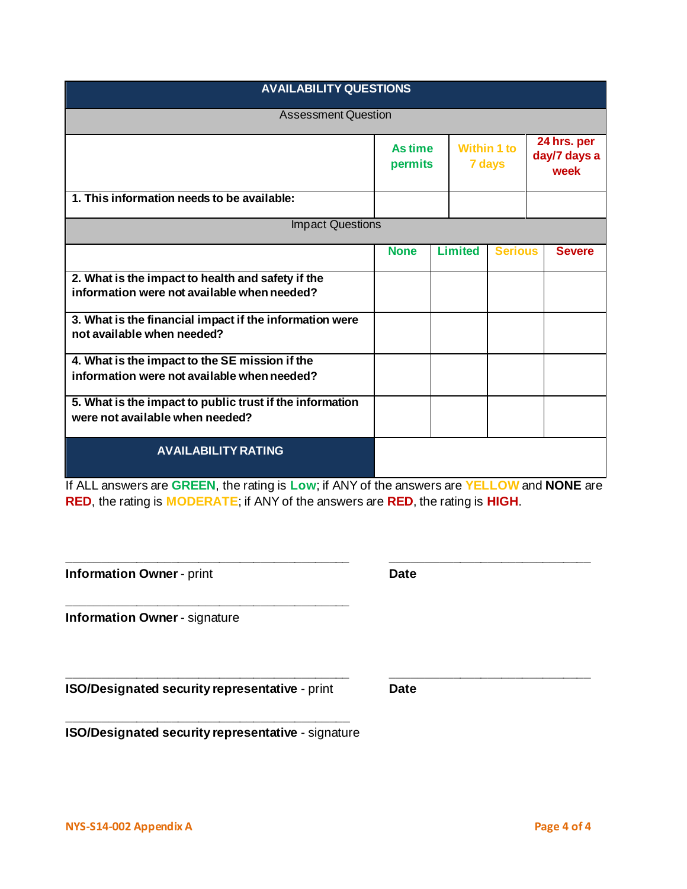| <b>AVAILABILITY QUESTIONS</b>                                                                    |                    |  |                |                              |  |                                     |
|--------------------------------------------------------------------------------------------------|--------------------|--|----------------|------------------------------|--|-------------------------------------|
| <b>Assessment Question</b>                                                                       |                    |  |                |                              |  |                                     |
|                                                                                                  | As time<br>permits |  |                | <b>Within 1 to</b><br>7 days |  | 24 hrs. per<br>day/7 days a<br>week |
| 1. This information needs to be available:                                                       |                    |  |                |                              |  |                                     |
| <b>Impact Questions</b>                                                                          |                    |  |                |                              |  |                                     |
|                                                                                                  | <b>None</b>        |  | <b>Limited</b> | <b>Serious</b>               |  | <b>Severe</b>                       |
| 2. What is the impact to health and safety if the<br>information were not available when needed? |                    |  |                |                              |  |                                     |
| 3. What is the financial impact if the information were<br>not available when needed?            |                    |  |                |                              |  |                                     |
| 4. What is the impact to the SE mission if the<br>information were not available when needed?    |                    |  |                |                              |  |                                     |
| 5. What is the impact to public trust if the information<br>were not available when needed?      |                    |  |                |                              |  |                                     |
| <b>AVAILABILITY RATING</b>                                                                       |                    |  |                |                              |  |                                     |

If ALL answers are **GREEN**, the rating is **Low**; if ANY of the answers are **YELLOW** and **NONE** are **RED**, the rating is **MODERATE**; if ANY of the answers are **RED**, the rating is **HIGH**.

| <b>Information Owner - print</b>               | <b>Date</b> |  |
|------------------------------------------------|-------------|--|
| <b>Information Owner - signature</b>           |             |  |
| ISO/Designated security representative - print | <b>Date</b> |  |

**\_\_\_\_\_\_\_\_\_\_\_\_\_\_\_\_\_\_\_\_\_\_\_\_\_\_\_\_\_\_\_\_\_\_\_\_\_\_\_\_\_ \_\_\_\_\_\_\_\_\_\_\_\_\_\_\_\_\_\_\_\_\_\_\_\_\_\_\_\_\_**

**\_\_\_\_\_\_\_\_\_\_\_\_\_\_\_\_\_\_\_\_\_\_\_\_\_\_\_\_\_\_\_\_\_\_\_\_\_\_\_\_\_ ISO/Designated security representative** - signature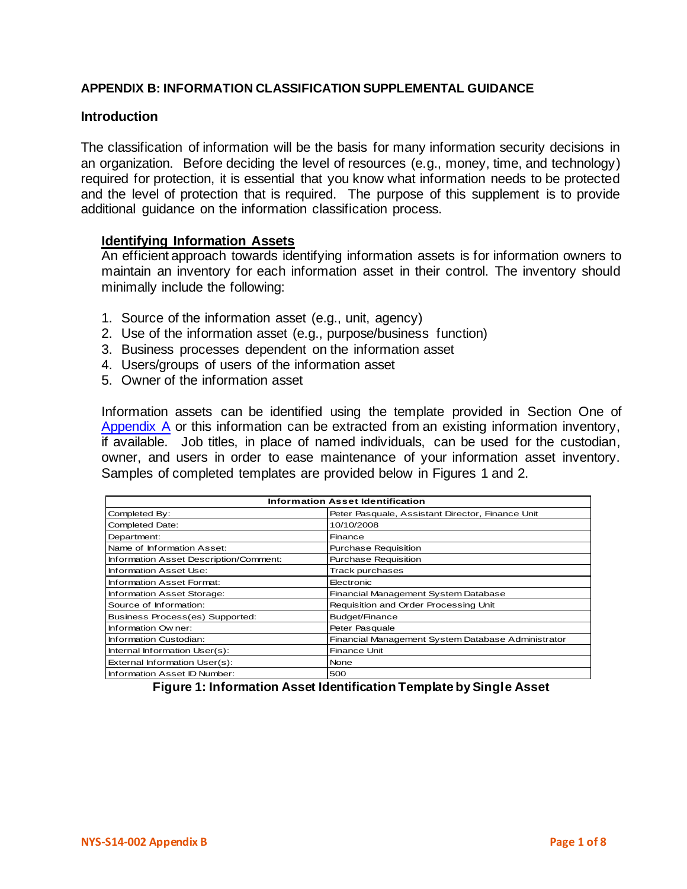### **APPENDIX B: INFORMATION CLASSIFICATION SUPPLEMENTAL GUIDANCE**

#### **Introduction**

The classification of information will be the basis for many information security decisions in an organization. Before deciding the level of resources (e.g., money, time, and technology) required for protection, it is essential that you know what information needs to be protected and the level of protection that is required. The purpose of this supplement is to provide additional guidance on the information classification process.

#### **Identifying Information Assets**

An efficient approach towards identifying information assets is for information owners to maintain an inventory for each information asset in their control. The inventory should minimally include the following:

- 1. Source of the information asset (e.g., unit, agency)
- 2. Use of the information asset (e.g., purpose/business function)
- 3. Business processes dependent on the information asset
- 4. Users/groups of users of the information asset
- 5. Owner of the information asset

Information assets can be identified using the template provided in Section One of [Appendix A](#page-9-0) or this information can be extracted from an existing information inventory, if available. Job titles, in place of named individuals, can be used for the custodian, owner, and users in order to ease maintenance of your information asset inventory. Samples of completed templates are provided below in Figures 1 and 2.

| <b>Information Asset Identification</b> |                                                    |  |  |  |
|-----------------------------------------|----------------------------------------------------|--|--|--|
| Completed By:                           | Peter Pasquale, Assistant Director, Finance Unit   |  |  |  |
| <b>Completed Date:</b>                  | 10/10/2008                                         |  |  |  |
| Department:                             | Finance                                            |  |  |  |
| Name of Information Asset:              | <b>Purchase Requisition</b>                        |  |  |  |
| Information Asset Description/Comment:  | <b>Purchase Requisition</b>                        |  |  |  |
| Information Asset Use:                  | <b>Track purchases</b>                             |  |  |  |
| Information Asset Format:               | Electronic                                         |  |  |  |
| Information Asset Storage:              | Financial Management System Database               |  |  |  |
| Source of Information:                  | Requisition and Order Processing Unit              |  |  |  |
| Business Process(es) Supported:         | Budget/Finance                                     |  |  |  |
| Information Owner:                      | Peter Pasquale                                     |  |  |  |
| Information Custodian:                  | Financial Management System Database Administrator |  |  |  |
| Internal Information User(s):           | <b>Finance Unit</b>                                |  |  |  |
| External Information User(s):           | None                                               |  |  |  |
| Information Asset ID Number:            | 500                                                |  |  |  |

**Figure 1: Information Asset Identification Template by Single Asset**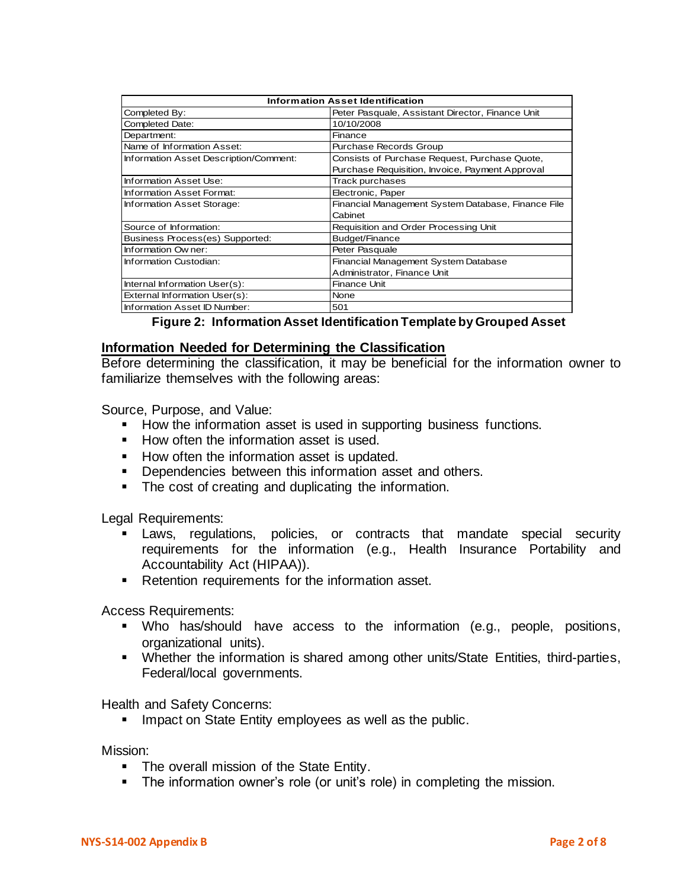| <b>Information Asset Identification</b> |                                                    |  |  |  |  |
|-----------------------------------------|----------------------------------------------------|--|--|--|--|
| Completed By:                           | Peter Pasquale, Assistant Director, Finance Unit   |  |  |  |  |
| <b>Completed Date:</b>                  | 10/10/2008                                         |  |  |  |  |
| Department:                             | Finance                                            |  |  |  |  |
| Name of Information Asset:              | <b>Purchase Records Group</b>                      |  |  |  |  |
| Information Asset Description/Comment:  | Consists of Purchase Request, Purchase Quote,      |  |  |  |  |
|                                         | Purchase Requisition, Invoice, Payment Approval    |  |  |  |  |
| Information Asset Use:                  | Track purchases                                    |  |  |  |  |
| Information Asset Format:               | Electronic, Paper                                  |  |  |  |  |
| Information Asset Storage:              | Financial Management System Database, Finance File |  |  |  |  |
|                                         | Cabinet                                            |  |  |  |  |
| Source of Information:                  | Requisition and Order Processing Unit              |  |  |  |  |
| Business Process(es) Supported:         | Budget/Finance                                     |  |  |  |  |
| Information Owner:                      | Peter Pasquale                                     |  |  |  |  |
| Information Custodian:                  | Financial Management System Database               |  |  |  |  |
|                                         | Administrator, Finance Unit                        |  |  |  |  |
| Internal Information User(s):           | Finance Unit                                       |  |  |  |  |
| External Information User(s):           | <b>None</b>                                        |  |  |  |  |
| Information Asset ID Number:            | 501                                                |  |  |  |  |

|  |  | Figure 2: Information Asset Identification Template by Grouped Asset |  |  |  |
|--|--|----------------------------------------------------------------------|--|--|--|
|--|--|----------------------------------------------------------------------|--|--|--|

### **Information Needed for Determining the Classification**

Before determining the classification, it may be beneficial for the information owner to familiarize themselves with the following areas:

Source, Purpose, and Value:

- How the information asset is used in supporting business functions.
- How often the information asset is used.
- How often the information asset is updated.
- **•** Dependencies between this information asset and others.
- The cost of creating and duplicating the information.

Legal Requirements:

- **EXT** Laws, regulations, policies, or contracts that mandate special security requirements for the information (e.g., Health Insurance Portability and Accountability Act (HIPAA)).
- Retention requirements for the information asset.

Access Requirements:

- Who has/should have access to the information (e.g., people, positions, organizational units).
- Whether the information is shared among other units/State Entities, third-parties, Federal/local governments.

Health and Safety Concerns:

**■** Impact on State Entity employees as well as the public.

Mission:

- The overall mission of the State Entity.
- **•** The information owner's role (or unit's role) in completing the mission.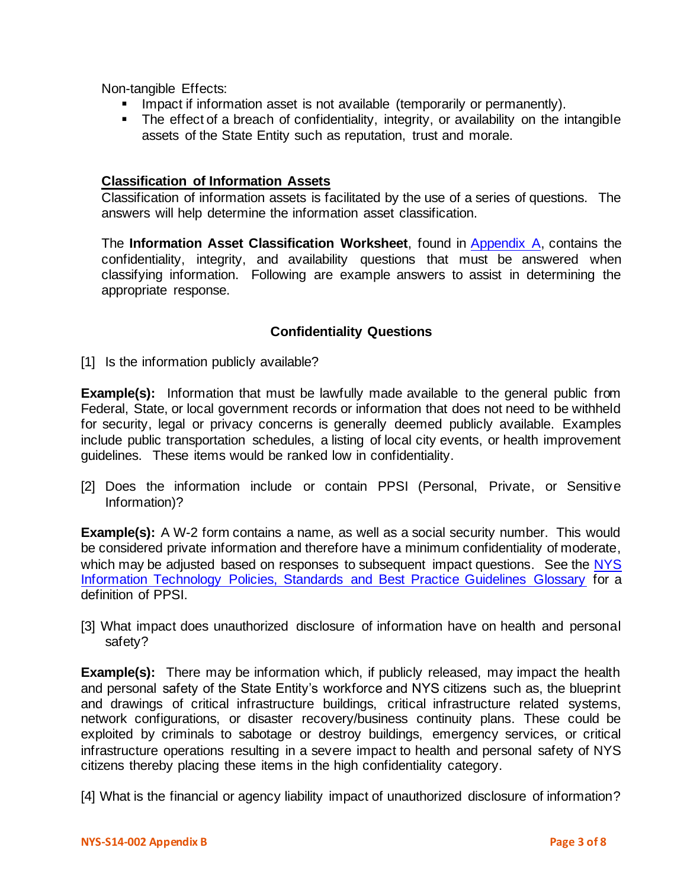Non-tangible Effects:

- **EXT** Impact if information asset is not available (temporarily or permanently).
- **The effect of a breach of confidentiality, integrity, or availability on the intangible** assets of the State Entity such as reputation, trust and morale.

### **Classification of Information Assets**

Classification of information assets is facilitated by the use of a series of questions. The answers will help determine the information asset classification.

The **Information Asset Classification Worksheet**, found in [Appendix A,](#page-9-0) contains the confidentiality, integrity, and availability questions that must be answered when classifying information. Following are example answers to assist in determining the appropriate response.

## **Confidentiality Questions**

[1] Is the information publicly available?

**Example(s):** Information that must be lawfully made available to the general public from Federal, State, or local government records or information that does not need to be withheld for security, legal or privacy concerns is generally deemed publicly available. Examples include public transportation schedules, a listing of local city events, or health improvement guidelines. These items would be ranked low in confidentiality.

[2] Does the information include or contain PPSI (Personal, Private, or Sensitive Information)?

**Example(s):** A W-2 form contains a name, as well as a social security number. This would be considered private information and therefore have a minimum confidentiality of moderate, which may be adjusted based on responses to subsequent impact questions. See the NYS [Information Technology Policies, Standards and Best Practice Guidelines Glossary](http://its.ny.gov/policy/glossary.htm) for a definition of PPSI.

[3] What impact does unauthorized disclosure of information have on health and personal safety?

**Example(s):** There may be information which, if publicly released, may impact the health and personal safety of the State Entity's workforce and NYS citizens such as, the blueprint and drawings of critical infrastructure buildings, critical infrastructure related systems, network configurations, or disaster recovery/business continuity plans. These could be exploited by criminals to sabotage or destroy buildings, emergency services, or critical infrastructure operations resulting in a severe impact to health and personal safety of NYS citizens thereby placing these items in the high confidentiality category.

[4] What is the financial or agency liability impact of unauthorized disclosure of information?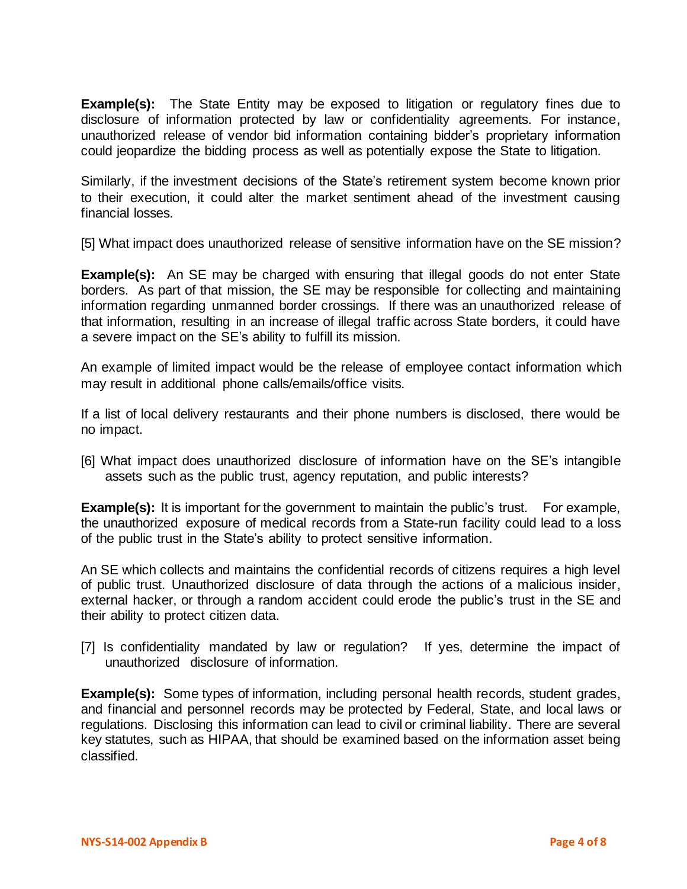**Example(s):** The State Entity may be exposed to litigation or regulatory fines due to disclosure of information protected by law or confidentiality agreements. For instance, unauthorized release of vendor bid information containing bidder's proprietary information could jeopardize the bidding process as well as potentially expose the State to litigation.

Similarly, if the investment decisions of the State's retirement system become known prior to their execution, it could alter the market sentiment ahead of the investment causing financial losses.

[5] What impact does unauthorized release of sensitive information have on the SE mission?

**Example(s):** An SE may be charged with ensuring that illegal goods do not enter State borders. As part of that mission, the SE may be responsible for collecting and maintaining information regarding unmanned border crossings. If there was an unauthorized release of that information, resulting in an increase of illegal traffic across State borders, it could have a severe impact on the SE's ability to fulfill its mission.

An example of limited impact would be the release of employee contact information which may result in additional phone calls/emails/office visits.

If a list of local delivery restaurants and their phone numbers is disclosed, there would be no impact.

[6] What impact does unauthorized disclosure of information have on the SE's intangible assets such as the public trust, agency reputation, and public interests?

**Example(s):** It is important for the government to maintain the public's trust. For example, the unauthorized exposure of medical records from a State-run facility could lead to a loss of the public trust in the State's ability to protect sensitive information.

An SE which collects and maintains the confidential records of citizens requires a high level of public trust. Unauthorized disclosure of data through the actions of a malicious insider, external hacker, or through a random accident could erode the public's trust in the SE and their ability to protect citizen data.

[7] Is confidentiality mandated by law or regulation? If yes, determine the impact of unauthorized disclosure of information.

**Example(s):** Some types of information, including personal health records, student grades, and financial and personnel records may be protected by Federal, State, and local laws or regulations. Disclosing this information can lead to civil or criminal liability. There are several key statutes, such as HIPAA, that should be examined based on the information asset being classified.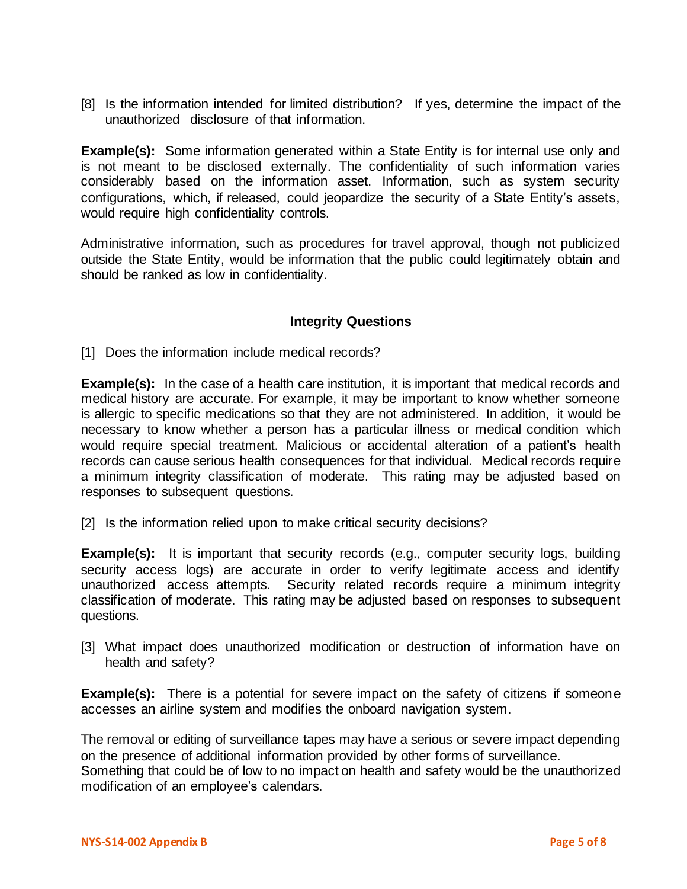[8] Is the information intended for limited distribution? If yes, determine the impact of the unauthorized disclosure of that information.

**Example(s):** Some information generated within a State Entity is for internal use only and is not meant to be disclosed externally. The confidentiality of such information varies considerably based on the information asset. Information, such as system security configurations, which, if released, could jeopardize the security of a State Entity's assets, would require high confidentiality controls.

Administrative information, such as procedures for travel approval, though not publicized outside the State Entity, would be information that the public could legitimately obtain and should be ranked as low in confidentiality.

### **Integrity Questions**

[1] Does the information include medical records?

**Example(s):** In the case of a health care institution, it is important that medical records and medical history are accurate. For example, it may be important to know whether someone is allergic to specific medications so that they are not administered. In addition, it would be necessary to know whether a person has a particular illness or medical condition which would require special treatment. Malicious or accidental alteration of a patient's health records can cause serious health consequences for that individual. Medical records require a minimum integrity classification of moderate. This rating may be adjusted based on responses to subsequent questions.

[2] Is the information relied upon to make critical security decisions?

**Example(s):** It is important that security records (e.g., computer security logs, building security access logs) are accurate in order to verify legitimate access and identify unauthorized access attempts. Security related records require a minimum integrity classification of moderate. This rating may be adjusted based on responses to subsequent questions.

[3] What impact does unauthorized modification or destruction of information have on health and safety?

**Example(s):** There is a potential for severe impact on the safety of citizens if someone accesses an airline system and modifies the onboard navigation system.

The removal or editing of surveillance tapes may have a serious or severe impact depending on the presence of additional information provided by other forms of surveillance. Something that could be of low to no impact on health and safety would be the unauthorized modification of an employee's calendars.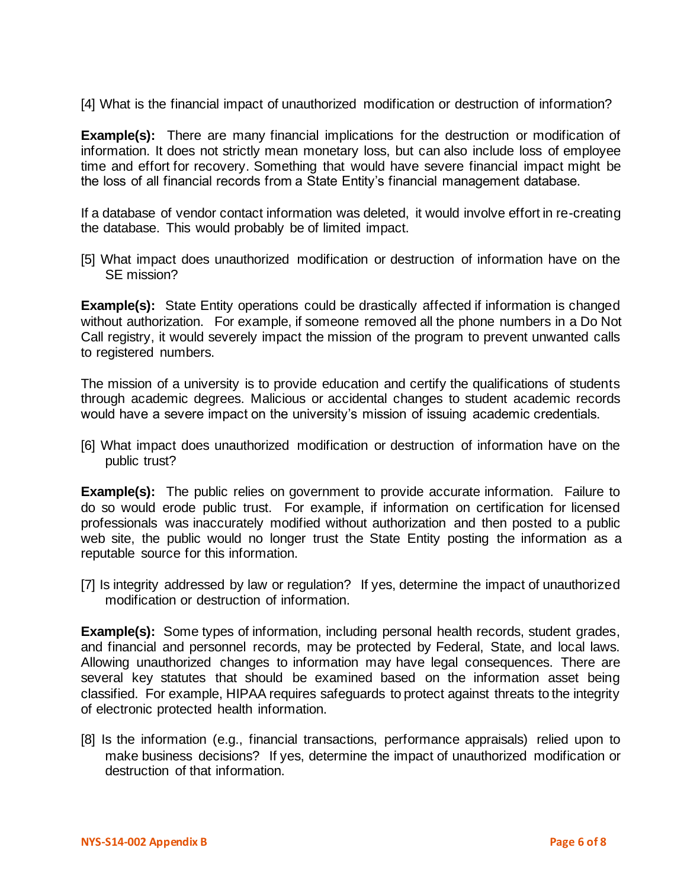[4] What is the financial impact of unauthorized modification or destruction of information?

**Example(s):** There are many financial implications for the destruction or modification of information. It does not strictly mean monetary loss, but can also include loss of employee time and effort for recovery. Something that would have severe financial impact might be the loss of all financial records from a State Entity's financial management database.

If a database of vendor contact information was deleted, it would involve effort in re-creating the database. This would probably be of limited impact.

[5] What impact does unauthorized modification or destruction of information have on the SE mission?

**Example(s):** State Entity operations could be drastically affected if information is changed without authorization. For example, if someone removed all the phone numbers in a Do Not Call registry, it would severely impact the mission of the program to prevent unwanted calls to registered numbers.

The mission of a university is to provide education and certify the qualifications of students through academic degrees. Malicious or accidental changes to student academic records would have a severe impact on the university's mission of issuing academic credentials.

[6] What impact does unauthorized modification or destruction of information have on the public trust?

**Example(s):** The public relies on government to provide accurate information. Failure to do so would erode public trust. For example, if information on certification for licensed professionals was inaccurately modified without authorization and then posted to a public web site, the public would no longer trust the State Entity posting the information as a reputable source for this information.

[7] Is integrity addressed by law or regulation? If yes, determine the impact of unauthorized modification or destruction of information.

**Example(s):** Some types of information, including personal health records, student grades, and financial and personnel records, may be protected by Federal, State, and local laws. Allowing unauthorized changes to information may have legal consequences. There are several key statutes that should be examined based on the information asset being classified. For example, HIPAA requires safeguards to protect against threats to the integrity of electronic protected health information.

[8] Is the information (e.g., financial transactions, performance appraisals) relied upon to make business decisions? If yes, determine the impact of unauthorized modification or destruction of that information.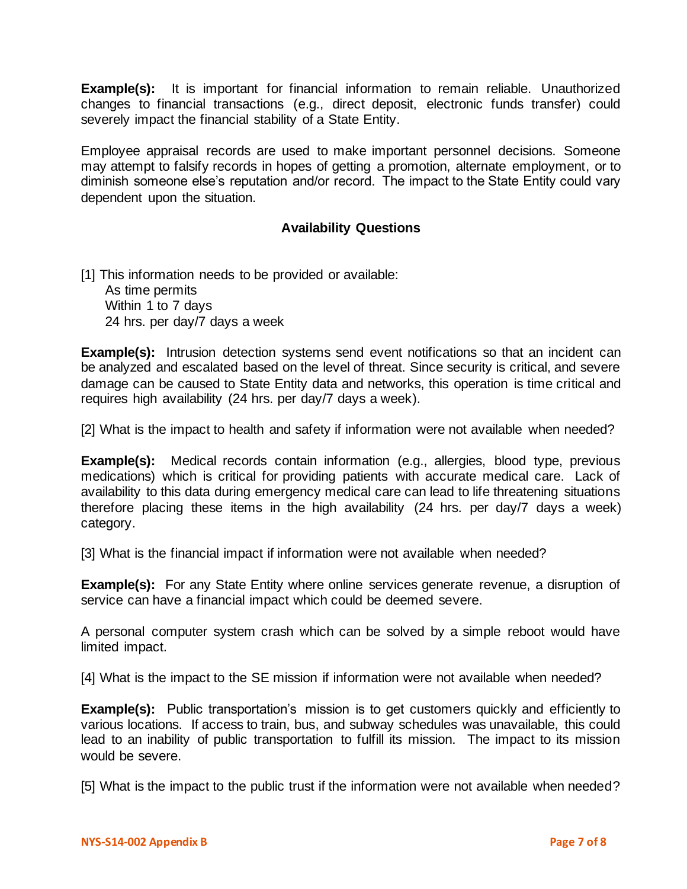**Example(s):** It is important for financial information to remain reliable. Unauthorized changes to financial transactions (e.g., direct deposit, electronic funds transfer) could severely impact the financial stability of a State Entity.

Employee appraisal records are used to make important personnel decisions. Someone may attempt to falsify records in hopes of getting a promotion, alternate employment, or to diminish someone else's reputation and/or record. The impact to the State Entity could vary dependent upon the situation.

## **Availability Questions**

[1] This information needs to be provided or available: As time permits Within 1 to 7 days 24 hrs. per day/7 days a week

**Example(s):** Intrusion detection systems send event notifications so that an incident can be analyzed and escalated based on the level of threat. Since security is critical, and severe damage can be caused to State Entity data and networks, this operation is time critical and requires high availability (24 hrs. per day/7 days a week).

[2] What is the impact to health and safety if information were not available when needed?

**Example(s):** Medical records contain information (e.g., allergies, blood type, previous medications) which is critical for providing patients with accurate medical care. Lack of availability to this data during emergency medical care can lead to life threatening situations therefore placing these items in the high availability (24 hrs. per day/7 days a week) category.

[3] What is the financial impact if information were not available when needed?

**Example(s):** For any State Entity where online services generate revenue, a disruption of service can have a financial impact which could be deemed severe.

A personal computer system crash which can be solved by a simple reboot would have limited impact.

[4] What is the impact to the SE mission if information were not available when needed?

**Example(s):** Public transportation's mission is to get customers quickly and efficiently to various locations. If access to train, bus, and subway schedules was unavailable, this could lead to an inability of public transportation to fulfill its mission. The impact to its mission would be severe.

[5] What is the impact to the public trust if the information were not available when needed?